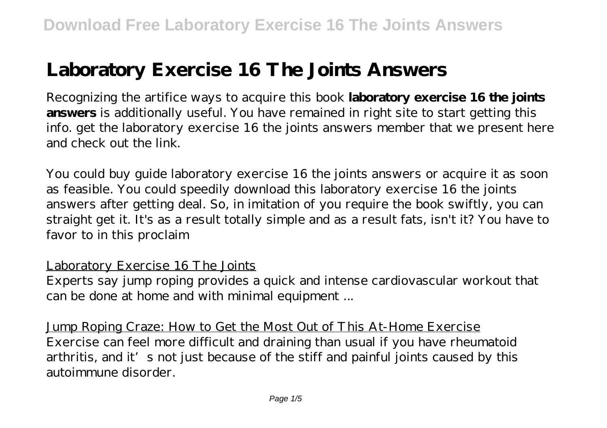# **Laboratory Exercise 16 The Joints Answers**

Recognizing the artifice ways to acquire this book **laboratory exercise 16 the joints answers** is additionally useful. You have remained in right site to start getting this info. get the laboratory exercise 16 the joints answers member that we present here and check out the link.

You could buy guide laboratory exercise 16 the joints answers or acquire it as soon as feasible. You could speedily download this laboratory exercise 16 the joints answers after getting deal. So, in imitation of you require the book swiftly, you can straight get it. It's as a result totally simple and as a result fats, isn't it? You have to favor to in this proclaim

### Laboratory Exercise 16 The Joints

Experts say jump roping provides a quick and intense cardiovascular workout that can be done at home and with minimal equipment ...

Jump Roping Craze: How to Get the Most Out of This At-Home Exercise Exercise can feel more difficult and draining than usual if you have rheumatoid arthritis, and it's not just because of the stiff and painful joints caused by this autoimmune disorder.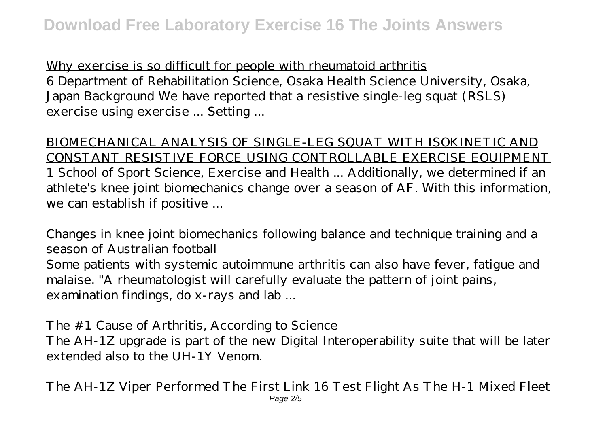Why exercise is so difficult for people with rheumatoid arthritis 6 Department of Rehabilitation Science, Osaka Health Science University, Osaka, Japan Background We have reported that a resistive single-leg squat (RSLS) exercise using exercise ... Setting ...

BIOMECHANICAL ANALYSIS OF SINGLE-LEG SQUAT WITH ISOKINETIC AND CONSTANT RESISTIVE FORCE USING CONTROLLABLE EXERCISE EQUIPMENT 1 School of Sport Science, Exercise and Health ... Additionally, we determined if an athlete's knee joint biomechanics change over a season of AF. With this information, we can establish if positive ...

Changes in knee joint biomechanics following balance and technique training and a season of Australian football Some patients with systemic autoimmune arthritis can also have fever, fatigue and malaise. "A rheumatologist will carefully evaluate the pattern of joint pains, examination findings, do x-rays and lab ...

The #1 Cause of Arthritis, According to Science

The AH-1Z upgrade is part of the new Digital Interoperability suite that will be later extended also to the UH-1Y Venom.

The AH-1Z Viper Performed The First Link 16 Test Flight As The H-1 Mixed Fleet Page  $2/5$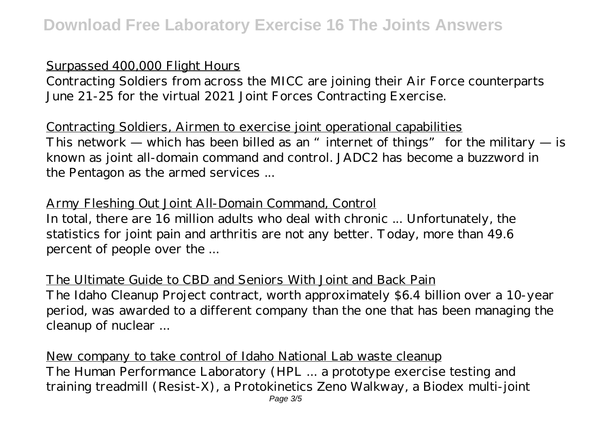### Surpassed 400,000 Flight Hours

Contracting Soldiers from across the MICC are joining their Air Force counterparts June 21-25 for the virtual 2021 Joint Forces Contracting Exercise.

Contracting Soldiers, Airmen to exercise joint operational capabilities This network — which has been billed as an "internet of things" for the military  $-$  is known as joint all-domain command and control. JADC2 has become a buzzword in the Pentagon as the armed services ...

# Army Fleshing Out Joint All-Domain Command, Control

In total, there are 16 million adults who deal with chronic ... Unfortunately, the statistics for joint pain and arthritis are not any better. Today, more than 49.6 percent of people over the ...

The Ultimate Guide to CBD and Seniors With Joint and Back Pain The Idaho Cleanup Project contract, worth approximately \$6.4 billion over a 10-year period, was awarded to a different company than the one that has been managing the cleanup of nuclear ...

New company to take control of Idaho National Lab waste cleanup The Human Performance Laboratory (HPL ... a prototype exercise testing and training treadmill (Resist-X), a Protokinetics Zeno Walkway, a Biodex multi-joint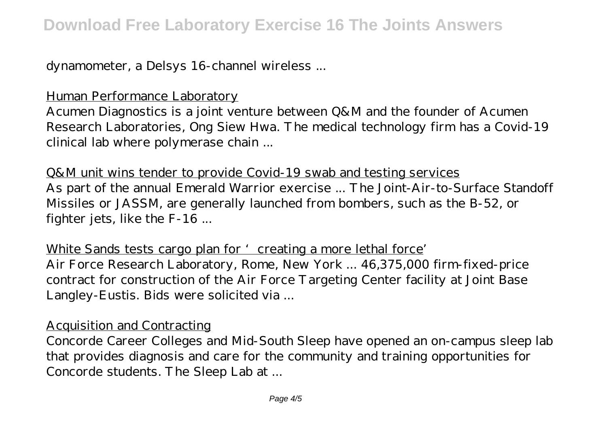dynamometer, a Delsys 16-channel wireless ...

Human Performance Laboratory

Acumen Diagnostics is a joint venture between Q&M and the founder of Acumen Research Laboratories, Ong Siew Hwa. The medical technology firm has a Covid-19 clinical lab where polymerase chain ...

Q&M unit wins tender to provide Covid-19 swab and testing services As part of the annual Emerald Warrior exercise ... The Joint-Air-to-Surface Standoff Missiles or JASSM, are generally launched from bombers, such as the B-52, or fighter jets, like the F-16 ...

White Sands tests cargo plan for 'creating a more lethal force' Air Force Research Laboratory, Rome, New York ... 46,375,000 firm-fixed-price contract for construction of the Air Force Targeting Center facility at Joint Base Langley-Eustis. Bids were solicited via ...

### Acquisition and Contracting

Concorde Career Colleges and Mid-South Sleep have opened an on-campus sleep lab that provides diagnosis and care for the community and training opportunities for Concorde students. The Sleep Lab at ...